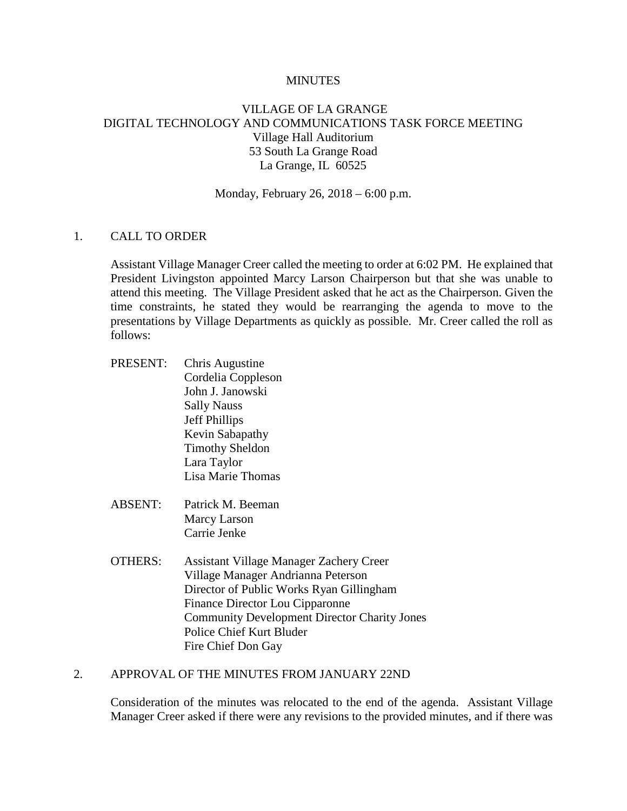#### **MINUTES**

# VILLAGE OF LA GRANGE DIGITAL TECHNOLOGY AND COMMUNICATIONS TASK FORCE MEETING Village Hall Auditorium 53 South La Grange Road La Grange, IL 60525

Monday, February 26, 2018 – 6:00 p.m.

## 1. CALL TO ORDER

Assistant Village Manager Creer called the meeting to order at 6:02 PM. He explained that President Livingston appointed Marcy Larson Chairperson but that she was unable to attend this meeting. The Village President asked that he act as the Chairperson. Given the time constraints, he stated they would be rearranging the agenda to move to the presentations by Village Departments as quickly as possible. Mr. Creer called the roll as follows:

- PRESENT: Chris Augustine Cordelia Coppleson John J. Janowski Sally Nauss Jeff Phillips Kevin Sabapathy Timothy Sheldon Lara Taylor Lisa Marie Thomas
- ABSENT: Patrick M. Beeman Marcy Larson Carrie Jenke
- OTHERS: Assistant Village Manager Zachery Creer Village Manager Andrianna Peterson Director of Public Works Ryan Gillingham Finance Director Lou Cipparonne Community Development Director Charity Jones Police Chief Kurt Bluder Fire Chief Don Gay

#### 2. APPROVAL OF THE MINUTES FROM JANUARY 22ND

Consideration of the minutes was relocated to the end of the agenda. Assistant Village Manager Creer asked if there were any revisions to the provided minutes, and if there was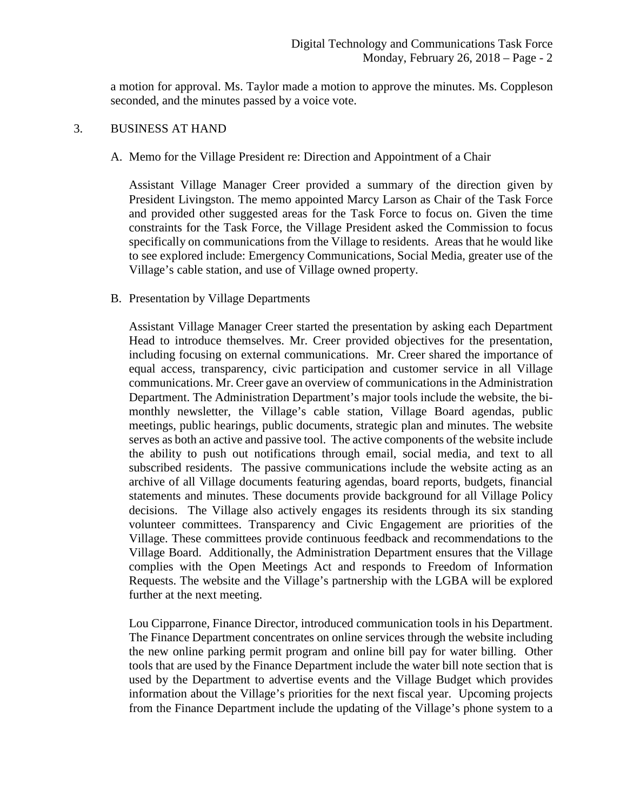a motion for approval. Ms. Taylor made a motion to approve the minutes. Ms. Coppleson seconded, and the minutes passed by a voice vote.

#### 3. BUSINESS AT HAND

### A. Memo for the Village President re: Direction and Appointment of a Chair

Assistant Village Manager Creer provided a summary of the direction given by President Livingston. The memo appointed Marcy Larson as Chair of the Task Force and provided other suggested areas for the Task Force to focus on. Given the time constraints for the Task Force, the Village President asked the Commission to focus specifically on communications from the Village to residents. Areas that he would like to see explored include: Emergency Communications, Social Media, greater use of the Village's cable station, and use of Village owned property.

### B. Presentation by Village Departments

Assistant Village Manager Creer started the presentation by asking each Department Head to introduce themselves. Mr. Creer provided objectives for the presentation, including focusing on external communications. Mr. Creer shared the importance of equal access, transparency, civic participation and customer service in all Village communications. Mr. Creer gave an overview of communications in the Administration Department. The Administration Department's major tools include the website, the bimonthly newsletter, the Village's cable station, Village Board agendas, public meetings, public hearings, public documents, strategic plan and minutes. The website serves as both an active and passive tool. The active components of the website include the ability to push out notifications through email, social media, and text to all subscribed residents. The passive communications include the website acting as an archive of all Village documents featuring agendas, board reports, budgets, financial statements and minutes. These documents provide background for all Village Policy decisions. The Village also actively engages its residents through its six standing volunteer committees. Transparency and Civic Engagement are priorities of the Village. These committees provide continuous feedback and recommendations to the Village Board. Additionally, the Administration Department ensures that the Village complies with the Open Meetings Act and responds to Freedom of Information Requests. The website and the Village's partnership with the LGBA will be explored further at the next meeting.

Lou Cipparrone, Finance Director, introduced communication tools in his Department. The Finance Department concentrates on online services through the website including the new online parking permit program and online bill pay for water billing. Other tools that are used by the Finance Department include the water bill note section that is used by the Department to advertise events and the Village Budget which provides information about the Village's priorities for the next fiscal year. Upcoming projects from the Finance Department include the updating of the Village's phone system to a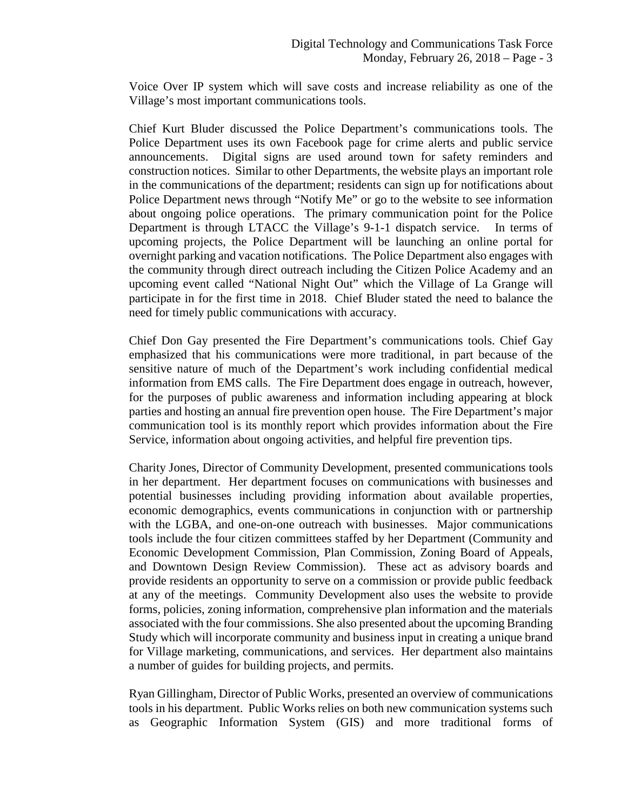Voice Over IP system which will save costs and increase reliability as one of the Village's most important communications tools.

Chief Kurt Bluder discussed the Police Department's communications tools. The Police Department uses its own Facebook page for crime alerts and public service announcements. Digital signs are used around town for safety reminders and construction notices. Similar to other Departments, the website plays an important role in the communications of the department; residents can sign up for notifications about Police Department news through "Notify Me" or go to the website to see information about ongoing police operations. The primary communication point for the Police Department is through LTACC the Village's 9-1-1 dispatch service. In terms of upcoming projects, the Police Department will be launching an online portal for overnight parking and vacation notifications. The Police Department also engages with the community through direct outreach including the Citizen Police Academy and an upcoming event called "National Night Out" which the Village of La Grange will participate in for the first time in 2018. Chief Bluder stated the need to balance the need for timely public communications with accuracy.

Chief Don Gay presented the Fire Department's communications tools. Chief Gay emphasized that his communications were more traditional, in part because of the sensitive nature of much of the Department's work including confidential medical information from EMS calls. The Fire Department does engage in outreach, however, for the purposes of public awareness and information including appearing at block parties and hosting an annual fire prevention open house. The Fire Department's major communication tool is its monthly report which provides information about the Fire Service, information about ongoing activities, and helpful fire prevention tips.

Charity Jones, Director of Community Development, presented communications tools in her department. Her department focuses on communications with businesses and potential businesses including providing information about available properties, economic demographics, events communications in conjunction with or partnership with the LGBA, and one-on-one outreach with businesses. Major communications tools include the four citizen committees staffed by her Department (Community and Economic Development Commission, Plan Commission, Zoning Board of Appeals, and Downtown Design Review Commission). These act as advisory boards and provide residents an opportunity to serve on a commission or provide public feedback at any of the meetings. Community Development also uses the website to provide forms, policies, zoning information, comprehensive plan information and the materials associated with the four commissions. She also presented about the upcoming Branding Study which will incorporate community and business input in creating a unique brand for Village marketing, communications, and services. Her department also maintains a number of guides for building projects, and permits.

Ryan Gillingham, Director of Public Works, presented an overview of communications tools in his department. Public Works relies on both new communication systems such as Geographic Information System (GIS) and more traditional forms of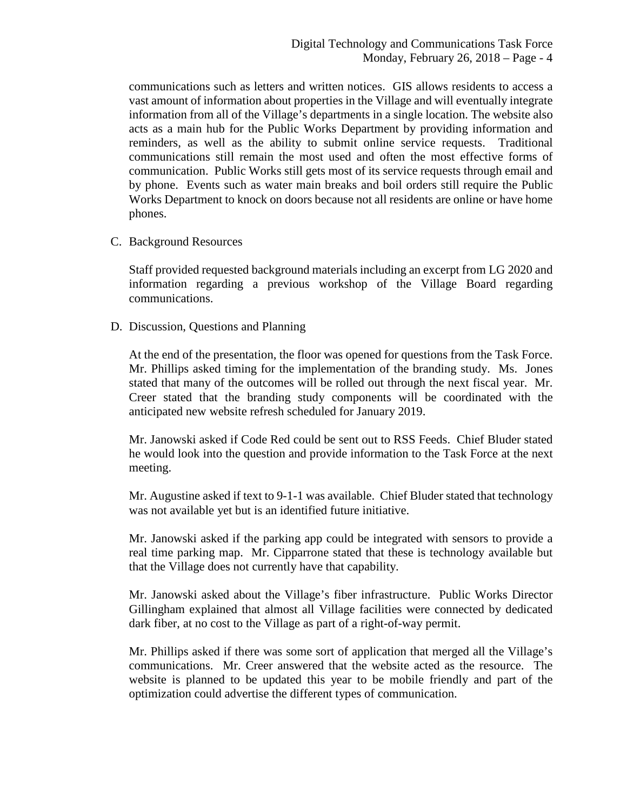communications such as letters and written notices. GIS allows residents to access a vast amount of information about properties in the Village and will eventually integrate information from all of the Village's departments in a single location. The website also acts as a main hub for the Public Works Department by providing information and reminders, as well as the ability to submit online service requests. Traditional communications still remain the most used and often the most effective forms of communication. Public Works still gets most of its service requests through email and by phone. Events such as water main breaks and boil orders still require the Public Works Department to knock on doors because not all residents are online or have home phones.

C. Background Resources

Staff provided requested background materials including an excerpt from LG 2020 and information regarding a previous workshop of the Village Board regarding communications.

D. Discussion, Questions and Planning

At the end of the presentation, the floor was opened for questions from the Task Force. Mr. Phillips asked timing for the implementation of the branding study. Ms. Jones stated that many of the outcomes will be rolled out through the next fiscal year. Mr. Creer stated that the branding study components will be coordinated with the anticipated new website refresh scheduled for January 2019.

Mr. Janowski asked if Code Red could be sent out to RSS Feeds. Chief Bluder stated he would look into the question and provide information to the Task Force at the next meeting.

Mr. Augustine asked if text to 9-1-1 was available. Chief Bluder stated that technology was not available yet but is an identified future initiative.

Mr. Janowski asked if the parking app could be integrated with sensors to provide a real time parking map. Mr. Cipparrone stated that these is technology available but that the Village does not currently have that capability.

Mr. Janowski asked about the Village's fiber infrastructure. Public Works Director Gillingham explained that almost all Village facilities were connected by dedicated dark fiber, at no cost to the Village as part of a right-of-way permit.

Mr. Phillips asked if there was some sort of application that merged all the Village's communications. Mr. Creer answered that the website acted as the resource. The website is planned to be updated this year to be mobile friendly and part of the optimization could advertise the different types of communication.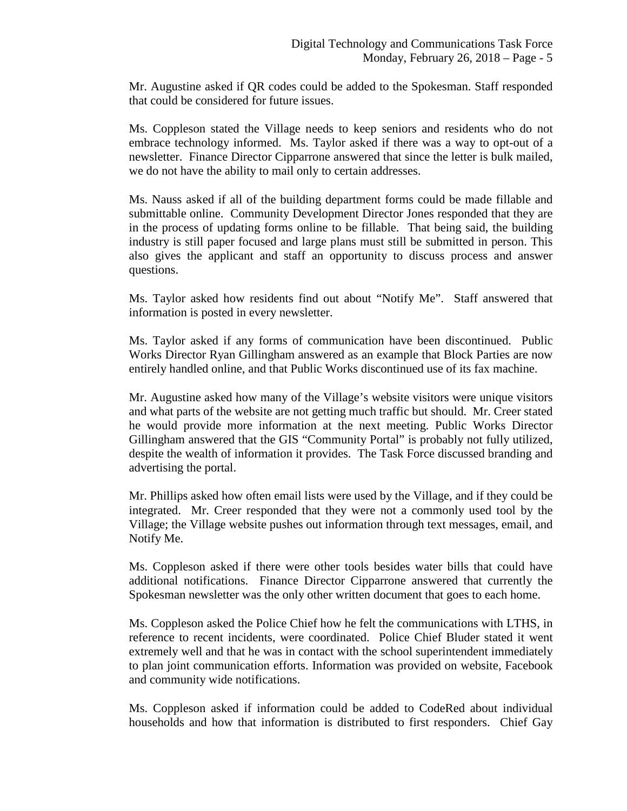Mr. Augustine asked if QR codes could be added to the Spokesman. Staff responded that could be considered for future issues.

Ms. Coppleson stated the Village needs to keep seniors and residents who do not embrace technology informed. Ms. Taylor asked if there was a way to opt-out of a newsletter. Finance Director Cipparrone answered that since the letter is bulk mailed, we do not have the ability to mail only to certain addresses.

Ms. Nauss asked if all of the building department forms could be made fillable and submittable online. Community Development Director Jones responded that they are in the process of updating forms online to be fillable. That being said, the building industry is still paper focused and large plans must still be submitted in person. This also gives the applicant and staff an opportunity to discuss process and answer questions.

Ms. Taylor asked how residents find out about "Notify Me". Staff answered that information is posted in every newsletter.

Ms. Taylor asked if any forms of communication have been discontinued. Public Works Director Ryan Gillingham answered as an example that Block Parties are now entirely handled online, and that Public Works discontinued use of its fax machine.

Mr. Augustine asked how many of the Village's website visitors were unique visitors and what parts of the website are not getting much traffic but should. Mr. Creer stated he would provide more information at the next meeting. Public Works Director Gillingham answered that the GIS "Community Portal" is probably not fully utilized, despite the wealth of information it provides. The Task Force discussed branding and advertising the portal.

Mr. Phillips asked how often email lists were used by the Village, and if they could be integrated. Mr. Creer responded that they were not a commonly used tool by the Village; the Village website pushes out information through text messages, email, and Notify Me.

Ms. Coppleson asked if there were other tools besides water bills that could have additional notifications. Finance Director Cipparrone answered that currently the Spokesman newsletter was the only other written document that goes to each home.

Ms. Coppleson asked the Police Chief how he felt the communications with LTHS, in reference to recent incidents, were coordinated. Police Chief Bluder stated it went extremely well and that he was in contact with the school superintendent immediately to plan joint communication efforts. Information was provided on website, Facebook and community wide notifications.

Ms. Coppleson asked if information could be added to CodeRed about individual households and how that information is distributed to first responders. Chief Gay